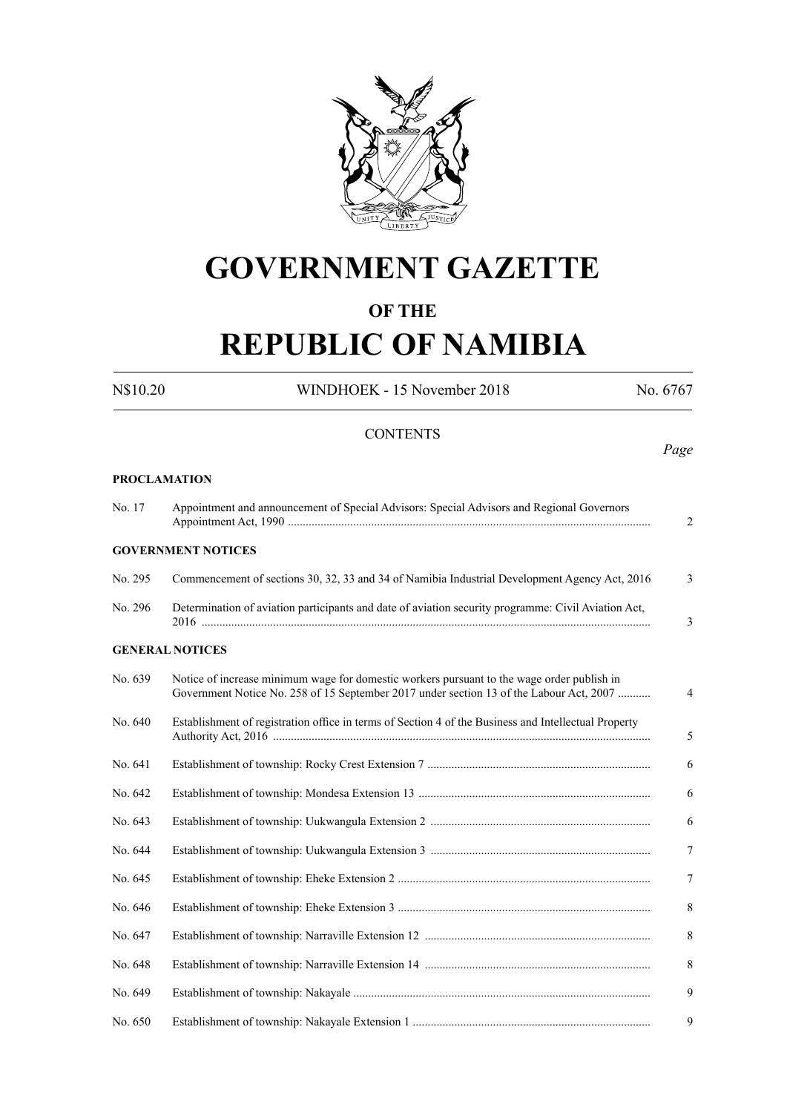

# **GOVERNMENT GAZETTE**

### **OF THE**

# **REPUBLIC OF NAMIBIA**

N\$10.20 WINDHOEK - 15 November 2018 No. 6767

**CONTENTS** *Page* **PROCLAMATION**

Appointment Act, 1990 .......................................................................................................................... 2

No. 17 Appointment and announcement of Special Advisors: Special Advisors and Regional Governors

#### **GOVERNMENT NOTICES**

| No. 295 | Commencement of sections 30, 32, 33 and 34 of Namibia Industrial Development Agency Act, 2016                   |  |
|---------|-----------------------------------------------------------------------------------------------------------------|--|
| No. 296 | Determination of aviation participants and date of aviation security programme: Civil Aviation Act,<br>$2016$ . |  |

#### **GENERAL NOTICES**

| No. 639 | Notice of increase minimum wage for domestic workers pursuant to the wage order publish in<br>Government Notice No. 258 of 15 September 2017 under section 13 of the Labour Act, 2007 | $\overline{4}$ |
|---------|---------------------------------------------------------------------------------------------------------------------------------------------------------------------------------------|----------------|
| No. 640 | Establishment of registration office in terms of Section 4 of the Business and Intellectual Property                                                                                  | 5              |
| No. 641 |                                                                                                                                                                                       | 6              |
| No. 642 |                                                                                                                                                                                       | 6              |
| No. 643 |                                                                                                                                                                                       | 6              |
| No. 644 |                                                                                                                                                                                       | $\tau$         |
| No. 645 |                                                                                                                                                                                       | $\tau$         |
| No. 646 |                                                                                                                                                                                       | 8              |
| No. 647 |                                                                                                                                                                                       | 8              |
| No. 648 |                                                                                                                                                                                       | 8              |
| No. 649 |                                                                                                                                                                                       | 9              |
| No. 650 |                                                                                                                                                                                       | 9              |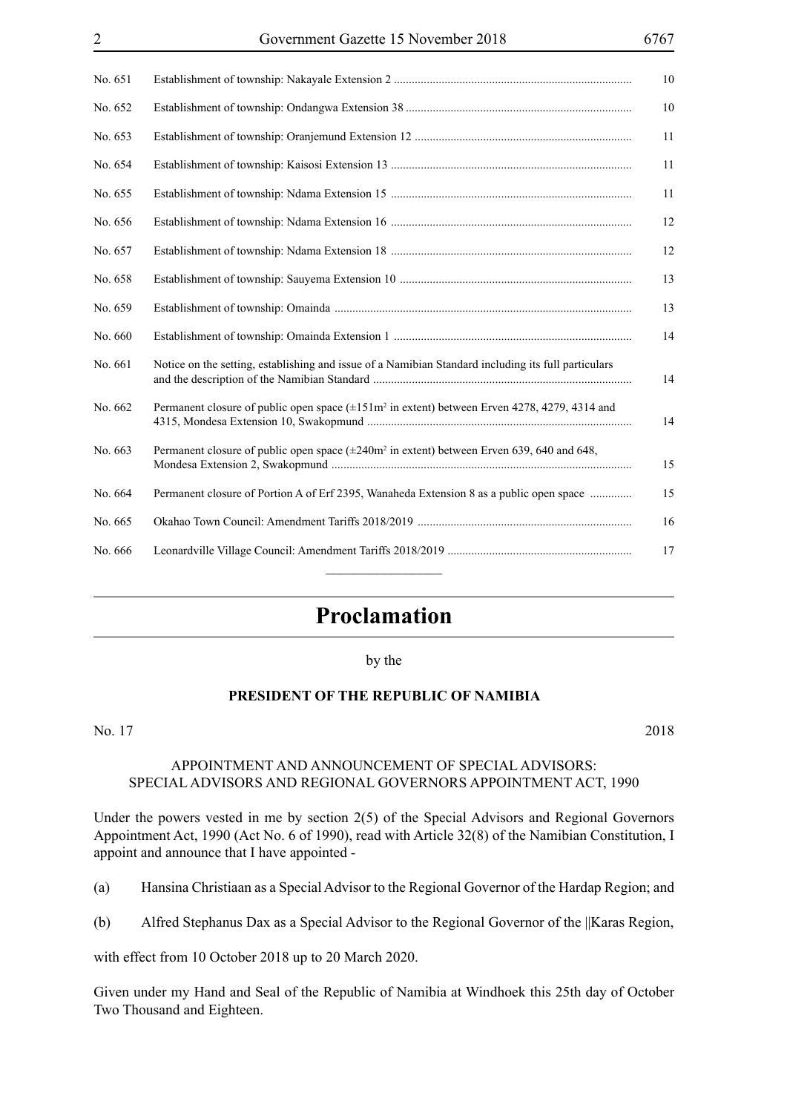| No. 651 |                                                                                                          |
|---------|----------------------------------------------------------------------------------------------------------|
| No. 652 |                                                                                                          |
| No. 653 |                                                                                                          |
| No. 654 |                                                                                                          |
| No. 655 |                                                                                                          |
| No. 656 |                                                                                                          |
| No. 657 |                                                                                                          |
| No. 658 |                                                                                                          |
| No. 659 |                                                                                                          |
| No. 660 |                                                                                                          |
| No. 661 | Notice on the setting, establishing and issue of a Namibian Standard including its full particulars      |
| No. 662 | Permanent closure of public open space (±151m <sup>2</sup> in extent) between Erven 4278, 4279, 4314 and |
| No. 663 | Permanent closure of public open space $(\pm 240m^2 \text{ in extent})$ between Erven 639, 640 and 648,  |
| No. 664 | Permanent closure of Portion A of Erf 2395, Wanaheda Extension 8 as a public open space                  |
| No. 665 |                                                                                                          |
| No. 666 |                                                                                                          |
|         |                                                                                                          |

### **Proclamation**

#### by the

#### **PRESIDENT OF THE REPUBLIC OF NAMIBIA**

No. 17 2018

#### APPOINTMENT AND ANNOUNCEMENT OF SPECIAL ADVISORS: SPECIAL ADVISORS AND REGIONAL GOVERNORS APPOINTMENT ACT, 1990

Under the powers vested in me by section 2(5) of the Special Advisors and Regional Governors Appointment Act, 1990 (Act No. 6 of 1990), read with Article 32(8) of the Namibian Constitution, I appoint and announce that I have appointed -

(a) Hansina Christiaan as a Special Advisor to the Regional Governor of the Hardap Region; and

(b) Alfred Stephanus Dax as a Special Advisor to the Regional Governor of the ||Karas Region,

with effect from 10 October 2018 up to 20 March 2020.

Given under my Hand and Seal of the Republic of Namibia at Windhoek this 25th day of October Two Thousand and Eighteen.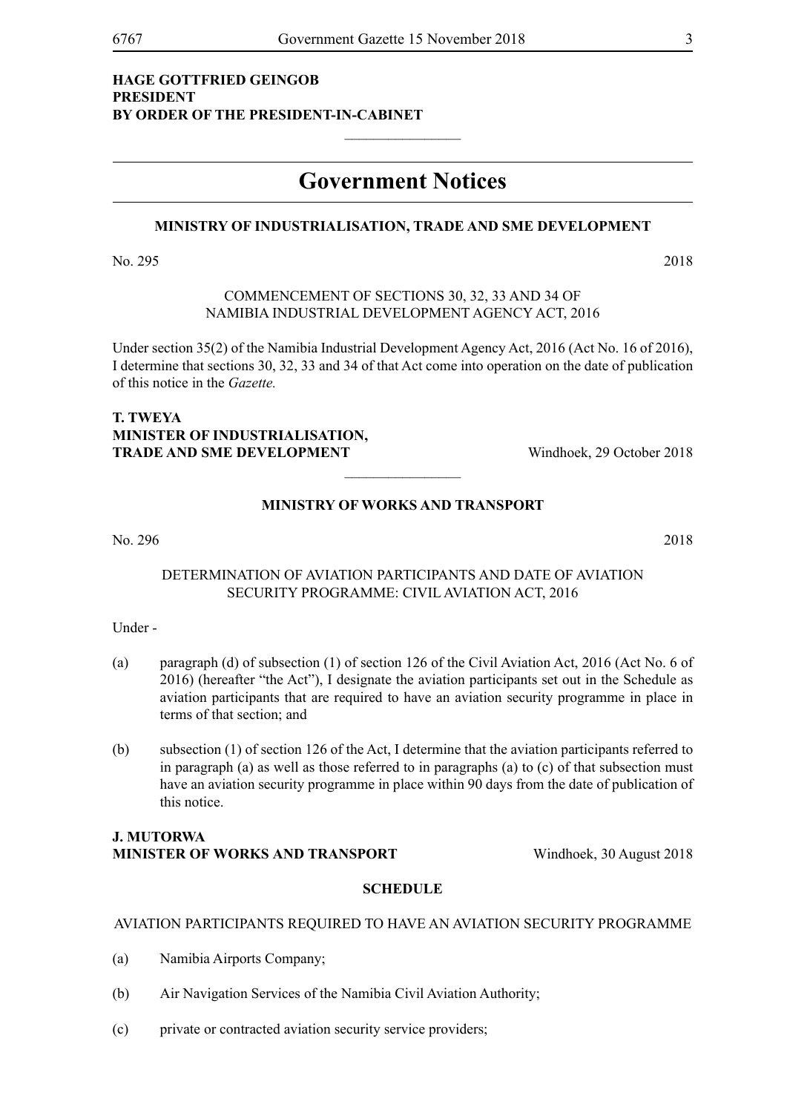#### **HAGE GOTTFRIED GEINGOB PRESIDENT BY ORDER OF THE PRESIDENT-IN-CABINET**

### **Government Notices**

 $\frac{1}{2}$ 

#### **MINISTRY OF INDUSTRIALISATION, TRADE AND SME DEVELOPMENT**

No. 295 2018

COMMENCEMENT OF SECTIONS 30, 32, 33 AND 34 OF NAMIBIA INDUSTRIAL DEVELOPMENT AGENCY ACT, 2016

Under section 35(2) of the Namibia Industrial Development Agency Act, 2016 (Act No. 16 of 2016), I determine that sections 30, 32, 33 and 34 of that Act come into operation on the date of publication of this notice in the *Gazette.*

#### **T. TWEYA MINISTER OF INDUSTRIALISATION, TRADE AND SME DEVELOPMENT** Windhoek, 29 October 2018

#### **MINISTRY OF WORKS AND TRANSPORT**

 $\frac{1}{2}$ 

No. 296 2018

#### DETERMINATION OF AVIATION PARTICIPANTS AND DATE OF AVIATION SECURITY PROGRAMME: CIVIL AVIATION ACT, 2016

Under -

- (a) paragraph (d) of subsection (1) of section 126 of the Civil Aviation Act, 2016 (Act No. 6 of 2016) (hereafter "the Act"), I designate the aviation participants set out in the Schedule as aviation participants that are required to have an aviation security programme in place in terms of that section; and
- (b) subsection (1) of section 126 of the Act, I determine that the aviation participants referred to in paragraph (a) as well as those referred to in paragraphs (a) to (c) of that subsection must have an aviation security programme in place within 90 days from the date of publication of this notice.

#### **J. MUTORWA MINISTER OF WORKS AND TRANSPORT Windhoek, 30 August 2018**

#### **SCHEDULE**

#### AVIATION PARTICIPANTS REQUIRED TO HAVE AN AVIATION SECURITY PROGRAMME

- (a) Namibia Airports Company;
- (b) Air Navigation Services of the Namibia Civil Aviation Authority;
- (c) private or contracted aviation security service providers;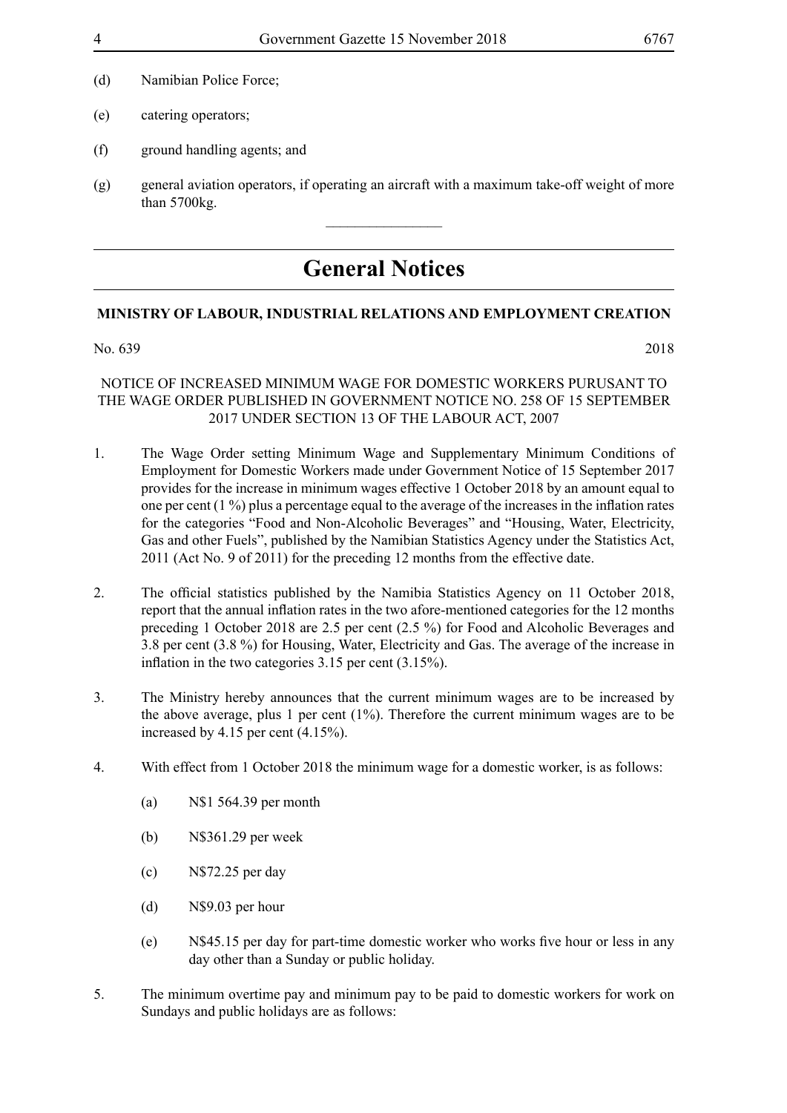- (d) Namibian Police Force;
- (e) catering operators;
- (f) ground handling agents; and
- (g) general aviation operators, if operating an aircraft with a maximum take-off weight of more than 5700kg.

 $\overline{\phantom{a}}$  , where  $\overline{\phantom{a}}$ 

## **General Notices**

#### **MINISTRY OF LABOUR, INDUSTRIAL RELATIONS AND EMPLOYMENT CREATION**

#### No. 639 2018

#### NOTICE OF INCREASED MINIMUM WAGE FOR DOMESTIC WORKERS PURUSANT TO THE WAGE ORDER PUBLISHED IN GOVERNMENT NOTICE NO. 258 OF 15 SEPTEMBER 2017 UNDER SECTION 13 OF THE LABOUR ACT, 2007

- 1. The Wage Order setting Minimum Wage and Supplementary Minimum Conditions of Employment for Domestic Workers made under Government Notice of 15 September 2017 provides for the increase in minimum wages effective 1 October 2018 by an amount equal to one per cent (1 %) plus a percentage equal to the average of the increases in the inflation rates for the categories "Food and Non-Alcoholic Beverages" and "Housing, Water, Electricity, Gas and other Fuels", published by the Namibian Statistics Agency under the Statistics Act, 2011 (Act No. 9 of 2011) for the preceding 12 months from the effective date.
- 2. The official statistics published by the Namibia Statistics Agency on 11 October 2018, report that the annual inflation rates in the two afore-mentioned categories for the 12 months preceding 1 October 2018 are 2.5 per cent (2.5 %) for Food and Alcoholic Beverages and 3.8 per cent (3.8 %) for Housing, Water, Electricity and Gas. The average of the increase in inflation in the two categories 3.15 per cent (3.15%).
- 3. The Ministry hereby announces that the current minimum wages are to be increased by the above average, plus 1 per cent (1%). Therefore the current minimum wages are to be increased by 4.15 per cent (4.15%).
- 4. With effect from 1 October 2018 the minimum wage for a domestic worker, is as follows:
	- (a) N\$1 564.39 per month
	- (b) N\$361.29 per week
	- (c) N\$72.25 per day
	- (d) N\$9.03 per hour
	- (e) N\$45.15 per day for part-time domestic worker who works five hour or less in any day other than a Sunday or public holiday.
- 5. The minimum overtime pay and minimum pay to be paid to domestic workers for work on Sundays and public holidays are as follows: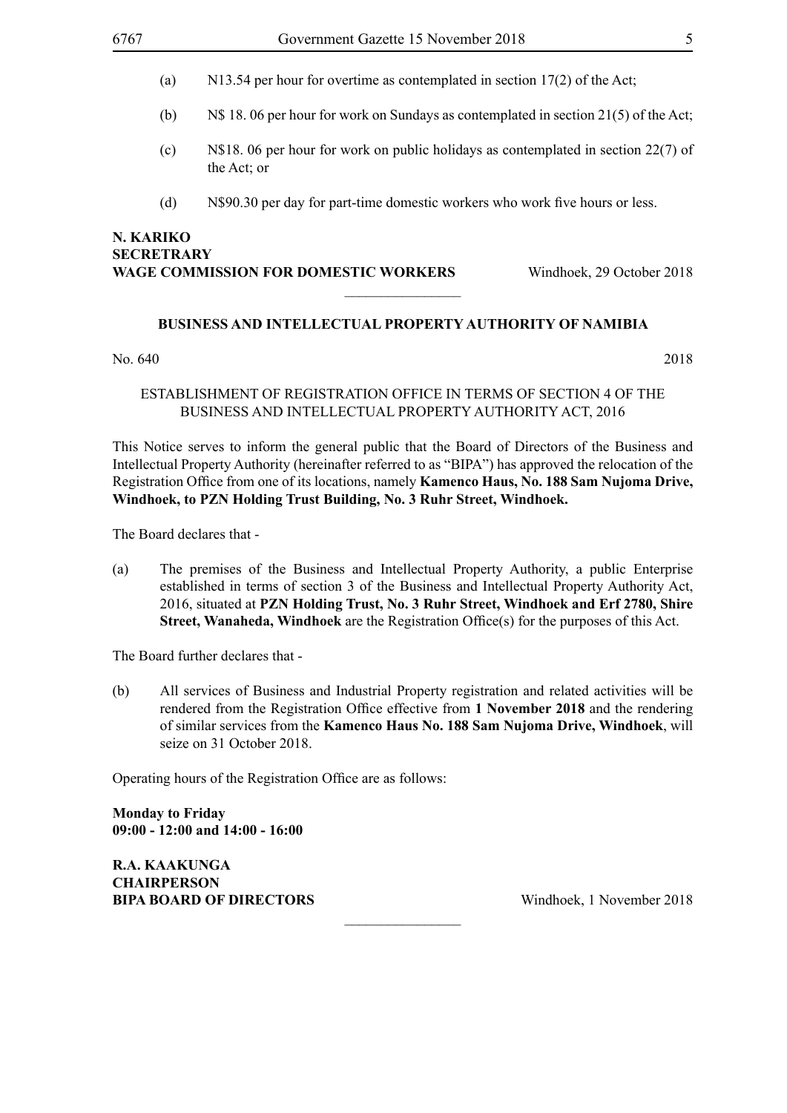- (a) N13.54 per hour for overtime as contemplated in section 17(2) of the Act;
- (b) N\$ 18. 06 per hour for work on Sundays as contemplated in section 21(5) of the Act;
- (c) N\$18. 06 per hour for work on public holidays as contemplated in section 22(7) of the Act; or
- (d) N\$90.30 per day for part-time domestic workers who work five hours or less.

#### **N. KARIKO SECRETRARY WAGE COMMISSION FOR DOMESTIC WORKERS** Windhoek, 29 October 2018

#### **BUSINESS AND INTELLECTUAL PROPERTY AUTHORITY OF NAMIBIA**

 $\overline{\phantom{a}}$  , where  $\overline{\phantom{a}}$ 

No. 640 2018

#### ESTABLISHMENT OF REGISTRATION OFFICE IN TERMS OF SECTION 4 OF THE BUSINESS AND INTELLECTUAL PROPERTY AUTHORITY ACT, 2016

This Notice serves to inform the general public that the Board of Directors of the Business and Intellectual Property Authority (hereinafter referred to as "BIPA") has approved the relocation of the Registration Office from one of its locations, namely **Kamenco Haus, No. 188 Sam Nujoma Drive, Windhoek, to PZN Holding Trust Building, No. 3 Ruhr Street, Windhoek.**

The Board declares that -

(a) The premises of the Business and Intellectual Property Authority, a public Enterprise established in terms of section 3 of the Business and Intellectual Property Authority Act, 2016, situated at **PZN Holding Trust, No. 3 Ruhr Street, Windhoek and Erf 2780, Shire Street, Wanaheda, Windhoek** are the Registration Office(s) for the purposes of this Act.

The Board further declares that -

(b) All services of Business and Industrial Property registration and related activities will be rendered from the Registration Office effective from **1 November 2018** and the rendering of similar services from the **Kamenco Haus No. 188 Sam Nujoma Drive, Windhoek**, will seize on 31 October 2018.

 $\frac{1}{2}$ 

Operating hours of the Registration Office are as follows:

**Monday to Friday 09:00 - 12:00 and 14:00 - 16:00**

**R.A. KAAKUNGA CHAIRPERSON BIPA BOARD OF DIRECTORS** Windhoek, 1 November 2018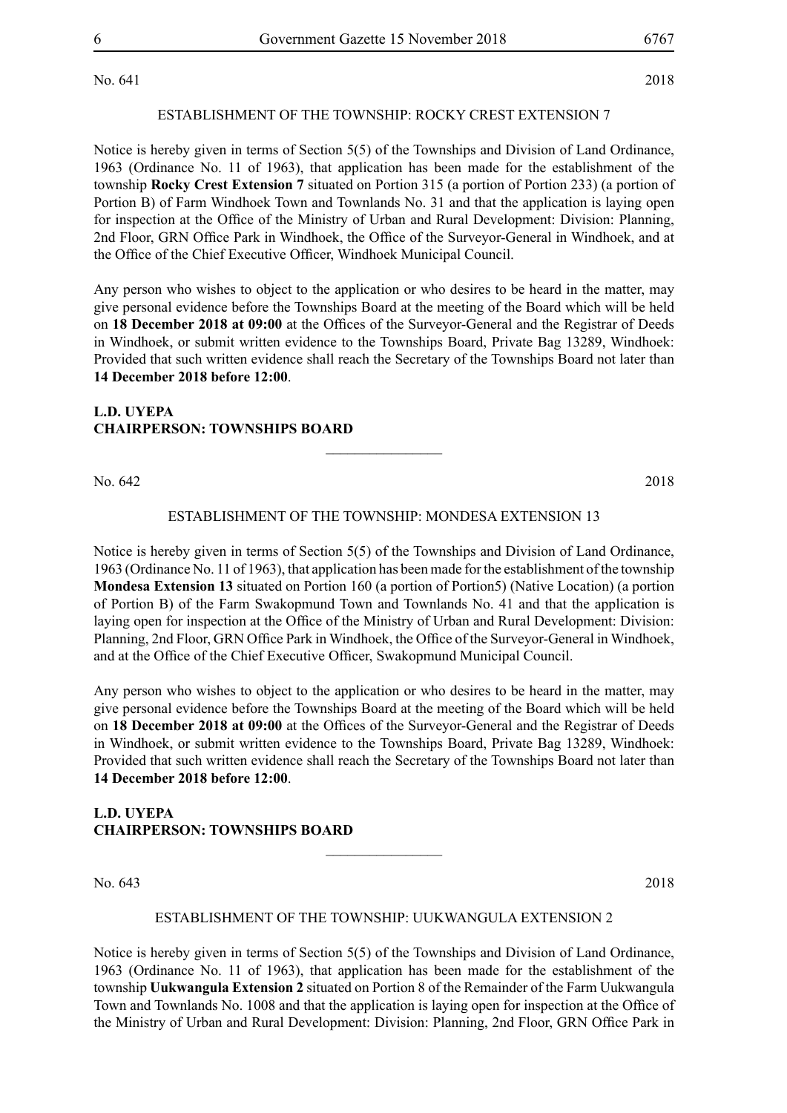No. 641 2018

#### ESTABLISHMENT OF THE TOWNSHIP: ROCKY CREST EXTENSION 7

Notice is hereby given in terms of Section 5(5) of the Townships and Division of Land Ordinance, 1963 (Ordinance No. 11 of 1963), that application has been made for the establishment of the township **Rocky Crest Extension 7** situated on Portion 315 (a portion of Portion 233) (a portion of Portion B) of Farm Windhoek Town and Townlands No. 31 and that the application is laying open for inspection at the Office of the Ministry of Urban and Rural Development: Division: Planning, 2nd Floor, GRN Office Park in Windhoek, the Office of the Surveyor-General in Windhoek, and at the Office of the Chief Executive Officer, Windhoek Municipal Council.

Any person who wishes to object to the application or who desires to be heard in the matter, may give personal evidence before the Townships Board at the meeting of the Board which will be held on **18 December 2018 at 09:00** at the Offices of the Surveyor-General and the Registrar of Deeds in Windhoek, or submit written evidence to the Townships Board, Private Bag 13289, Windhoek: Provided that such written evidence shall reach the Secretary of the Townships Board not later than **14 December 2018 before 12:00**.

#### **L.D. UYEPA CHAIRPERSON: TOWNSHIPS BOARD**

No. 642 2018

#### ESTABLISHMENT OF THE TOWNSHIP: MONDESA EXTENSION 13

 $\overline{\phantom{a}}$  , where  $\overline{\phantom{a}}$ 

Notice is hereby given in terms of Section 5(5) of the Townships and Division of Land Ordinance, 1963 (Ordinance No. 11 of 1963), that application has been made for the establishment of the township **Mondesa Extension 13** situated on Portion 160 (a portion of Portion5) (Native Location) (a portion of Portion B) of the Farm Swakopmund Town and Townlands No. 41 and that the application is laying open for inspection at the Office of the Ministry of Urban and Rural Development: Division: Planning, 2nd Floor, GRN Office Park in Windhoek, the Office of the Surveyor-General in Windhoek, and at the Office of the Chief Executive Officer, Swakopmund Municipal Council.

Any person who wishes to object to the application or who desires to be heard in the matter, may give personal evidence before the Townships Board at the meeting of the Board which will be held on **18 December 2018 at 09:00** at the Offices of the Surveyor-General and the Registrar of Deeds in Windhoek, or submit written evidence to the Townships Board, Private Bag 13289, Windhoek: Provided that such written evidence shall reach the Secretary of the Townships Board not later than **14 December 2018 before 12:00**.

#### **L.D. UYEPA CHAIRPERSON: TOWNSHIPS BOARD**

No. 643 2018

#### ESTABLISHMENT OF THE TOWNSHIP: UUKWANGULA EXTENSION 2

 $\frac{1}{2}$ 

Notice is hereby given in terms of Section 5(5) of the Townships and Division of Land Ordinance, 1963 (Ordinance No. 11 of 1963), that application has been made for the establishment of the township **Uukwangula Extension 2** situated on Portion 8 of the Remainder of the Farm Uukwangula Town and Townlands No. 1008 and that the application is laying open for inspection at the Office of the Ministry of Urban and Rural Development: Division: Planning, 2nd Floor, GRN Office Park in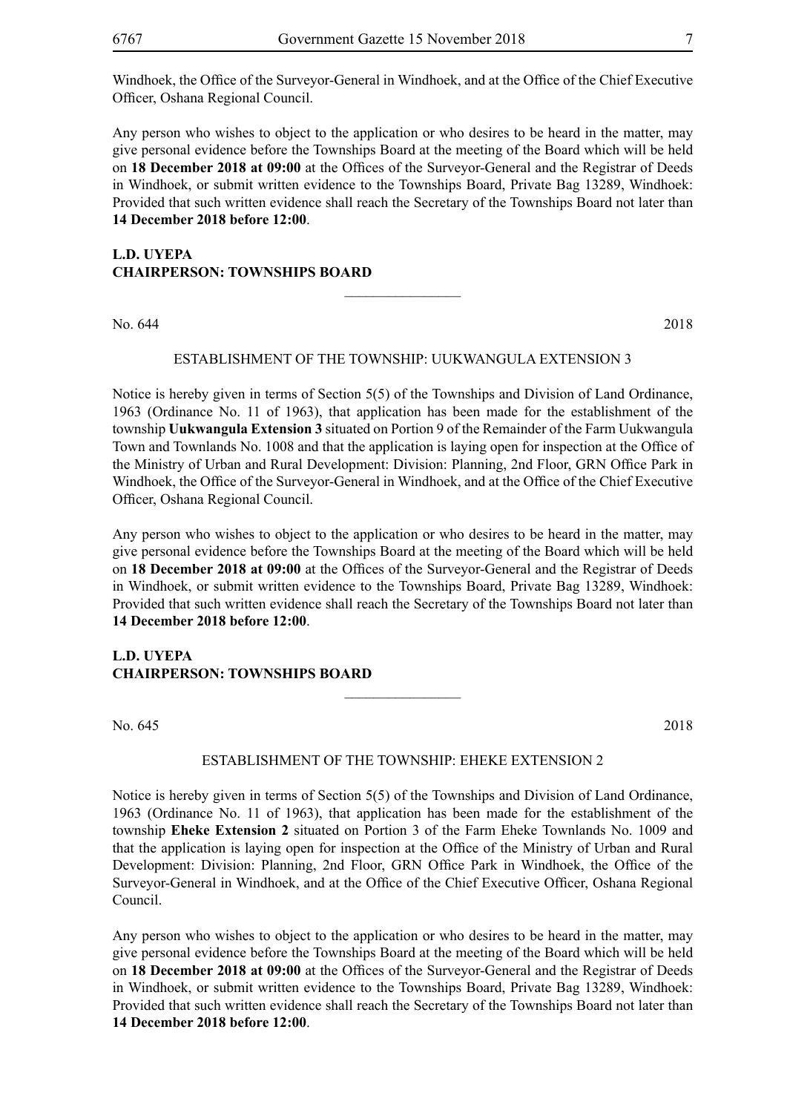Any person who wishes to object to the application or who desires to be heard in the matter, may give personal evidence before the Townships Board at the meeting of the Board which will be held on **18 December 2018 at 09:00** at the Offices of the Surveyor-General and the Registrar of Deeds in Windhoek, or submit written evidence to the Townships Board, Private Bag 13289, Windhoek: Provided that such written evidence shall reach the Secretary of the Townships Board not later than **14 December 2018 before 12:00**.

#### **L.D. UYEPA CHAIRPERSON: TOWNSHIPS BOARD**

No. 644 2018

#### ESTABLISHMENT OF THE TOWNSHIP: UUKWANGULA EXTENSION 3

 $\overline{\phantom{a}}$  , where  $\overline{\phantom{a}}$ 

Notice is hereby given in terms of Section 5(5) of the Townships and Division of Land Ordinance, 1963 (Ordinance No. 11 of 1963), that application has been made for the establishment of the township **Uukwangula Extension 3** situated on Portion 9 of the Remainder of the Farm Uukwangula Town and Townlands No. 1008 and that the application is laying open for inspection at the Office of the Ministry of Urban and Rural Development: Division: Planning, 2nd Floor, GRN Office Park in Windhoek, the Office of the Surveyor-General in Windhoek, and at the Office of the Chief Executive Officer, Oshana Regional Council.

Any person who wishes to object to the application or who desires to be heard in the matter, may give personal evidence before the Townships Board at the meeting of the Board which will be held on **18 December 2018 at 09:00** at the Offices of the Surveyor-General and the Registrar of Deeds in Windhoek, or submit written evidence to the Townships Board, Private Bag 13289, Windhoek: Provided that such written evidence shall reach the Secretary of the Townships Board not later than **14 December 2018 before 12:00**.

#### **L.D. UYEPA CHAIRPERSON: TOWNSHIPS BOARD**

No. 645 2018

#### ESTABLISHMENT OF THE TOWNSHIP: EHEKE EXTENSION 2

 $\overline{\phantom{a}}$  , where  $\overline{\phantom{a}}$ 

Notice is hereby given in terms of Section 5(5) of the Townships and Division of Land Ordinance, 1963 (Ordinance No. 11 of 1963), that application has been made for the establishment of the township **Eheke Extension 2** situated on Portion 3 of the Farm Eheke Townlands No. 1009 and that the application is laying open for inspection at the Office of the Ministry of Urban and Rural Development: Division: Planning, 2nd Floor, GRN Office Park in Windhoek, the Office of the Surveyor-General in Windhoek, and at the Office of the Chief Executive Officer, Oshana Regional Council.

Any person who wishes to object to the application or who desires to be heard in the matter, may give personal evidence before the Townships Board at the meeting of the Board which will be held on **18 December 2018 at 09:00** at the Offices of the Surveyor-General and the Registrar of Deeds in Windhoek, or submit written evidence to the Townships Board, Private Bag 13289, Windhoek: Provided that such written evidence shall reach the Secretary of the Townships Board not later than **14 December 2018 before 12:00**.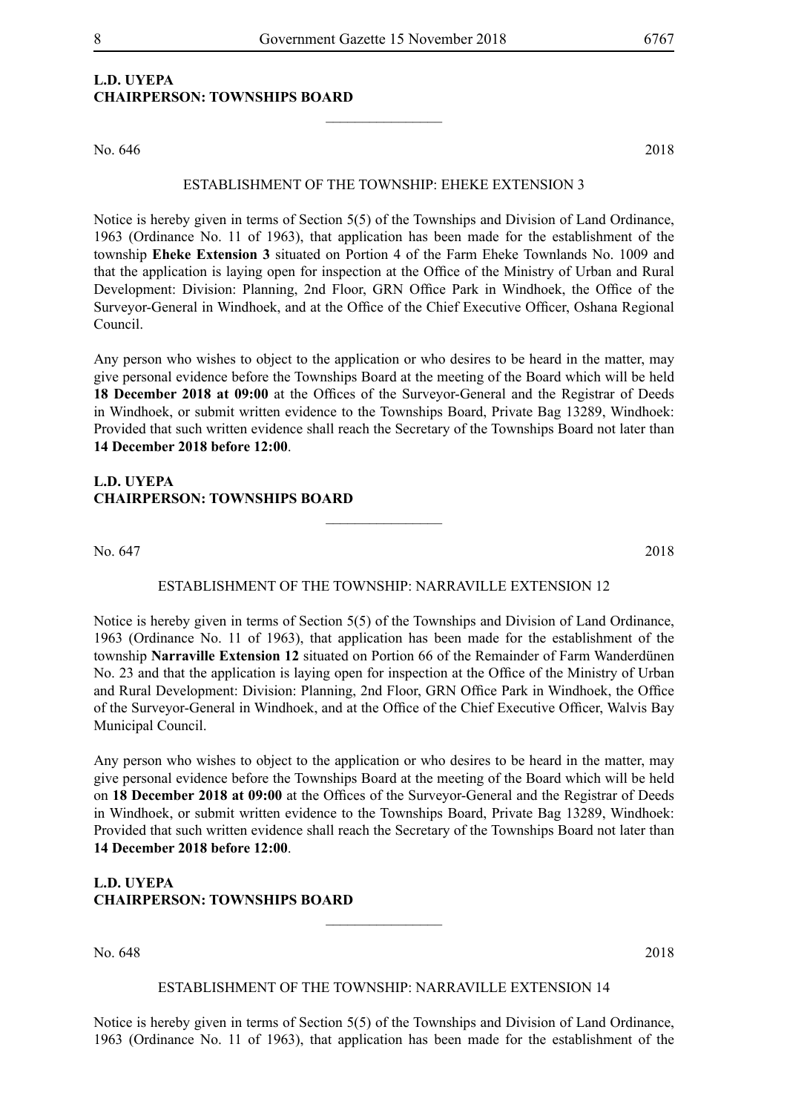#### **L.D. UYEPA CHAIRPERSON: TOWNSHIPS BOARD**

No. 646 2018

#### ESTABLISHMENT OF THE TOWNSHIP: EHEKE EXTENSION 3

 $\frac{1}{2}$ 

Notice is hereby given in terms of Section 5(5) of the Townships and Division of Land Ordinance, 1963 (Ordinance No. 11 of 1963), that application has been made for the establishment of the township **Eheke Extension 3** situated on Portion 4 of the Farm Eheke Townlands No. 1009 and that the application is laying open for inspection at the Office of the Ministry of Urban and Rural Development: Division: Planning, 2nd Floor, GRN Office Park in Windhoek, the Office of the Surveyor-General in Windhoek, and at the Office of the Chief Executive Officer, Oshana Regional Council.

Any person who wishes to object to the application or who desires to be heard in the matter, may give personal evidence before the Townships Board at the meeting of the Board which will be held **18 December 2018 at 09:00** at the Offices of the Surveyor-General and the Registrar of Deeds in Windhoek, or submit written evidence to the Townships Board, Private Bag 13289, Windhoek: Provided that such written evidence shall reach the Secretary of the Townships Board not later than **14 December 2018 before 12:00**.

#### **L.D. UYEPA CHAIRPERSON: TOWNSHIPS BOARD**

No. 647 2018

#### ESTABLISHMENT OF THE TOWNSHIP: NARRAVILLE EXTENSION 12

 $\overline{\phantom{a}}$  , where  $\overline{\phantom{a}}$ 

Notice is hereby given in terms of Section 5(5) of the Townships and Division of Land Ordinance, 1963 (Ordinance No. 11 of 1963), that application has been made for the establishment of the township **Narraville Extension 12** situated on Portion 66 of the Remainder of Farm Wanderdünen No. 23 and that the application is laying open for inspection at the Office of the Ministry of Urban and Rural Development: Division: Planning, 2nd Floor, GRN Office Park in Windhoek, the Office of the Surveyor-General in Windhoek, and at the Office of the Chief Executive Officer, Walvis Bay Municipal Council.

Any person who wishes to object to the application or who desires to be heard in the matter, may give personal evidence before the Townships Board at the meeting of the Board which will be held on **18 December 2018 at 09:00** at the Offices of the Surveyor-General and the Registrar of Deeds in Windhoek, or submit written evidence to the Townships Board, Private Bag 13289, Windhoek: Provided that such written evidence shall reach the Secretary of the Townships Board not later than **14 December 2018 before 12:00**.

**L.D. UYEPA CHAIRPERSON: TOWNSHIPS BOARD**

No. 648 2018

#### ESTABLISHMENT OF THE TOWNSHIP: NARRAVILLE EXTENSION 14

 $\overline{\phantom{a}}$  , where  $\overline{\phantom{a}}$ 

Notice is hereby given in terms of Section 5(5) of the Townships and Division of Land Ordinance, 1963 (Ordinance No. 11 of 1963), that application has been made for the establishment of the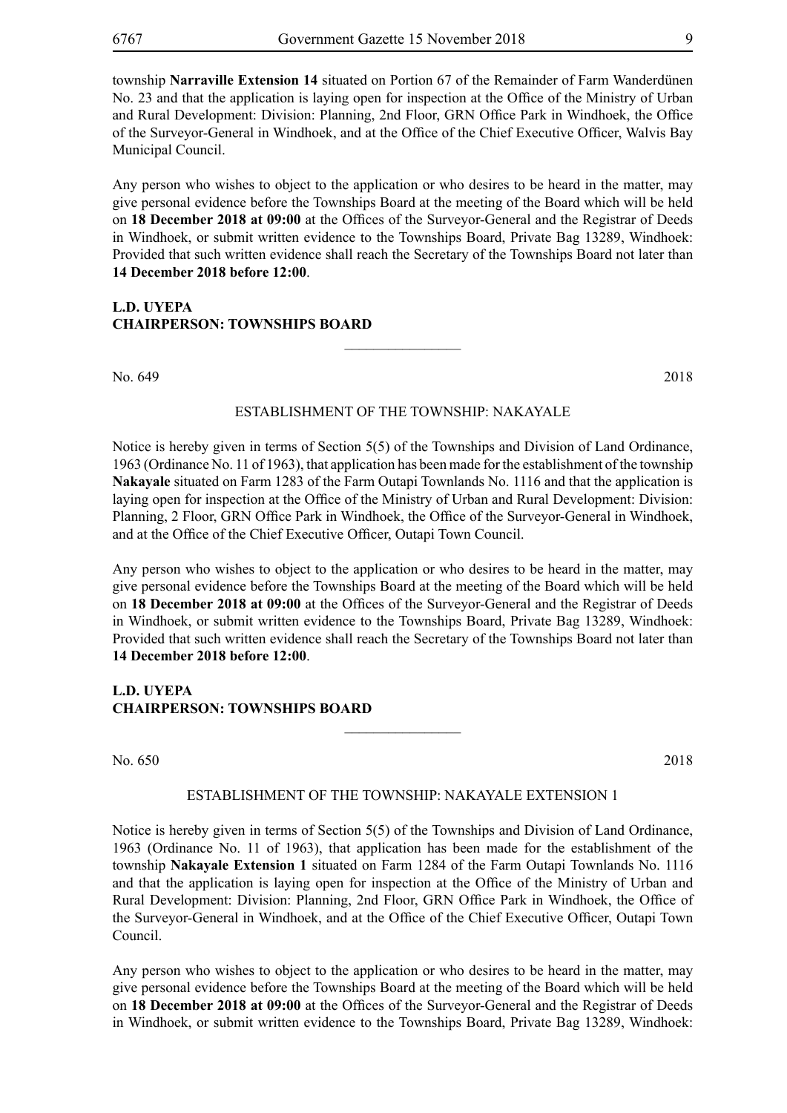township **Narraville Extension 14** situated on Portion 67 of the Remainder of Farm Wanderdünen No. 23 and that the application is laying open for inspection at the Office of the Ministry of Urban and Rural Development: Division: Planning, 2nd Floor, GRN Office Park in Windhoek, the Office of the Surveyor-General in Windhoek, and at the Office of the Chief Executive Officer, Walvis Bay Municipal Council.

Any person who wishes to object to the application or who desires to be heard in the matter, may give personal evidence before the Townships Board at the meeting of the Board which will be held on **18 December 2018 at 09:00** at the Offices of the Surveyor-General and the Registrar of Deeds in Windhoek, or submit written evidence to the Townships Board, Private Bag 13289, Windhoek: Provided that such written evidence shall reach the Secretary of the Townships Board not later than **14 December 2018 before 12:00**.

#### **L.D. UYEPA CHAIRPERSON: TOWNSHIPS BOARD**

No. 649 2018

#### ESTABLISHMENT OF THE TOWNSHIP: NAKAYALE

 $\frac{1}{2}$ 

Notice is hereby given in terms of Section 5(5) of the Townships and Division of Land Ordinance, 1963 (Ordinance No. 11 of 1963), that application has been made for the establishment of the township **Nakayale** situated on Farm 1283 of the Farm Outapi Townlands No. 1116 and that the application is laying open for inspection at the Office of the Ministry of Urban and Rural Development: Division: Planning, 2 Floor, GRN Office Park in Windhoek, the Office of the Surveyor-General in Windhoek, and at the Office of the Chief Executive Officer, Outapi Town Council.

Any person who wishes to object to the application or who desires to be heard in the matter, may give personal evidence before the Townships Board at the meeting of the Board which will be held on **18 December 2018 at 09:00** at the Offices of the Surveyor-General and the Registrar of Deeds in Windhoek, or submit written evidence to the Townships Board, Private Bag 13289, Windhoek: Provided that such written evidence shall reach the Secretary of the Townships Board not later than **14 December 2018 before 12:00**.

**L.D. UYEPA CHAIRPERSON: TOWNSHIPS BOARD**

No. 650 2018

#### ESTABLISHMENT OF THE TOWNSHIP: NAKAYALE EXTENSION 1

 $\frac{1}{2}$ 

Notice is hereby given in terms of Section 5(5) of the Townships and Division of Land Ordinance, 1963 (Ordinance No. 11 of 1963), that application has been made for the establishment of the township **Nakayale Extension 1** situated on Farm 1284 of the Farm Outapi Townlands No. 1116 and that the application is laying open for inspection at the Office of the Ministry of Urban and Rural Development: Division: Planning, 2nd Floor, GRN Office Park in Windhoek, the Office of the Surveyor-General in Windhoek, and at the Office of the Chief Executive Officer, Outapi Town Council.

Any person who wishes to object to the application or who desires to be heard in the matter, may give personal evidence before the Townships Board at the meeting of the Board which will be held on **18 December 2018 at 09:00** at the Offices of the Surveyor-General and the Registrar of Deeds in Windhoek, or submit written evidence to the Townships Board, Private Bag 13289, Windhoek: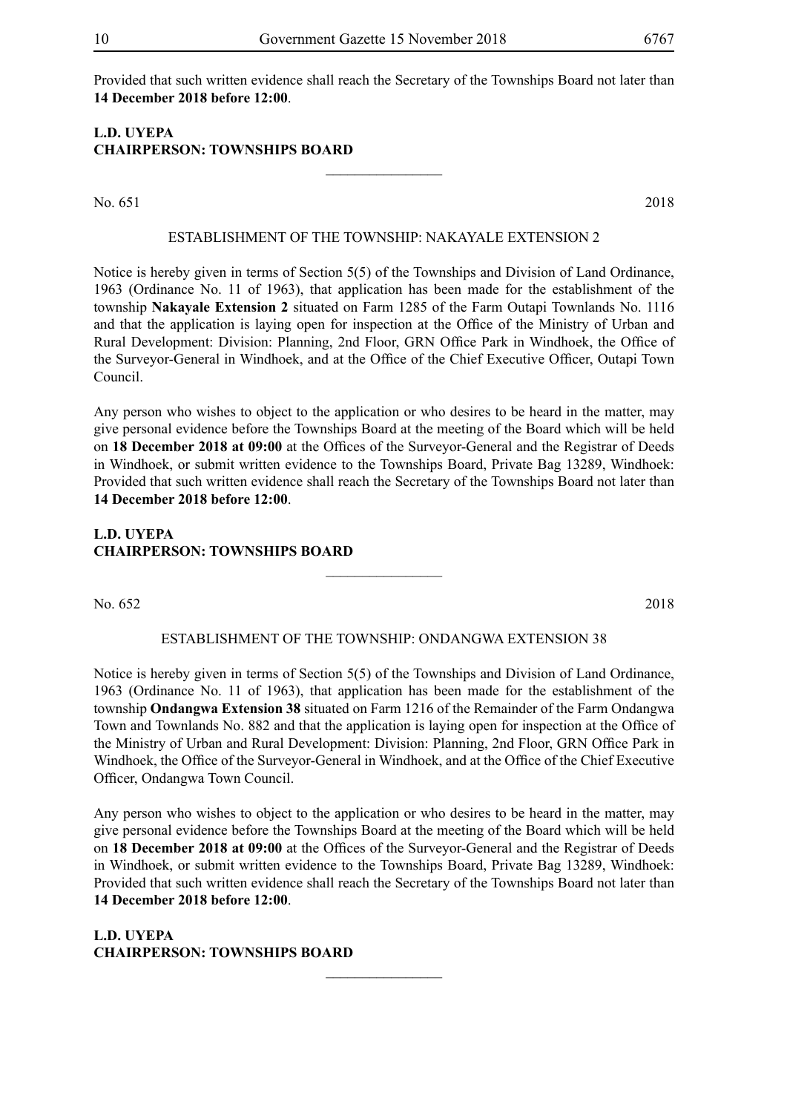Provided that such written evidence shall reach the Secretary of the Townships Board not later than **14 December 2018 before 12:00**.

#### **L.D. UYEPA CHAIRPERSON: TOWNSHIPS BOARD**

No. 651 2018

#### ESTABLISHMENT OF THE TOWNSHIP: NAKAYALE EXTENSION 2

 $\frac{1}{2}$ 

Notice is hereby given in terms of Section 5(5) of the Townships and Division of Land Ordinance, 1963 (Ordinance No. 11 of 1963), that application has been made for the establishment of the township **Nakayale Extension 2** situated on Farm 1285 of the Farm Outapi Townlands No. 1116 and that the application is laying open for inspection at the Office of the Ministry of Urban and Rural Development: Division: Planning, 2nd Floor, GRN Office Park in Windhoek, the Office of the Surveyor-General in Windhoek, and at the Office of the Chief Executive Officer, Outapi Town Council.

Any person who wishes to object to the application or who desires to be heard in the matter, may give personal evidence before the Townships Board at the meeting of the Board which will be held on **18 December 2018 at 09:00** at the Offices of the Surveyor-General and the Registrar of Deeds in Windhoek, or submit written evidence to the Townships Board, Private Bag 13289, Windhoek: Provided that such written evidence shall reach the Secretary of the Townships Board not later than **14 December 2018 before 12:00**.

#### **L.D. UYEPA CHAIRPERSON: TOWNSHIPS BOARD**

No. 652 2018

#### ESTABLISHMENT OF THE TOWNSHIP: ONDANGWA EXTENSION 38

 $\frac{1}{2}$ 

Notice is hereby given in terms of Section 5(5) of the Townships and Division of Land Ordinance, 1963 (Ordinance No. 11 of 1963), that application has been made for the establishment of the township **Ondangwa Extension 38** situated on Farm 1216 of the Remainder of the Farm Ondangwa Town and Townlands No. 882 and that the application is laying open for inspection at the Office of the Ministry of Urban and Rural Development: Division: Planning, 2nd Floor, GRN Office Park in Windhoek, the Office of the Surveyor-General in Windhoek, and at the Office of the Chief Executive Officer, Ondangwa Town Council.

Any person who wishes to object to the application or who desires to be heard in the matter, may give personal evidence before the Townships Board at the meeting of the Board which will be held on **18 December 2018 at 09:00** at the Offices of the Surveyor-General and the Registrar of Deeds in Windhoek, or submit written evidence to the Townships Board, Private Bag 13289, Windhoek: Provided that such written evidence shall reach the Secretary of the Townships Board not later than **14 December 2018 before 12:00**.

 $\frac{1}{2}$ 

**L.D. UYEPA CHAIRPERSON: TOWNSHIPS BOARD**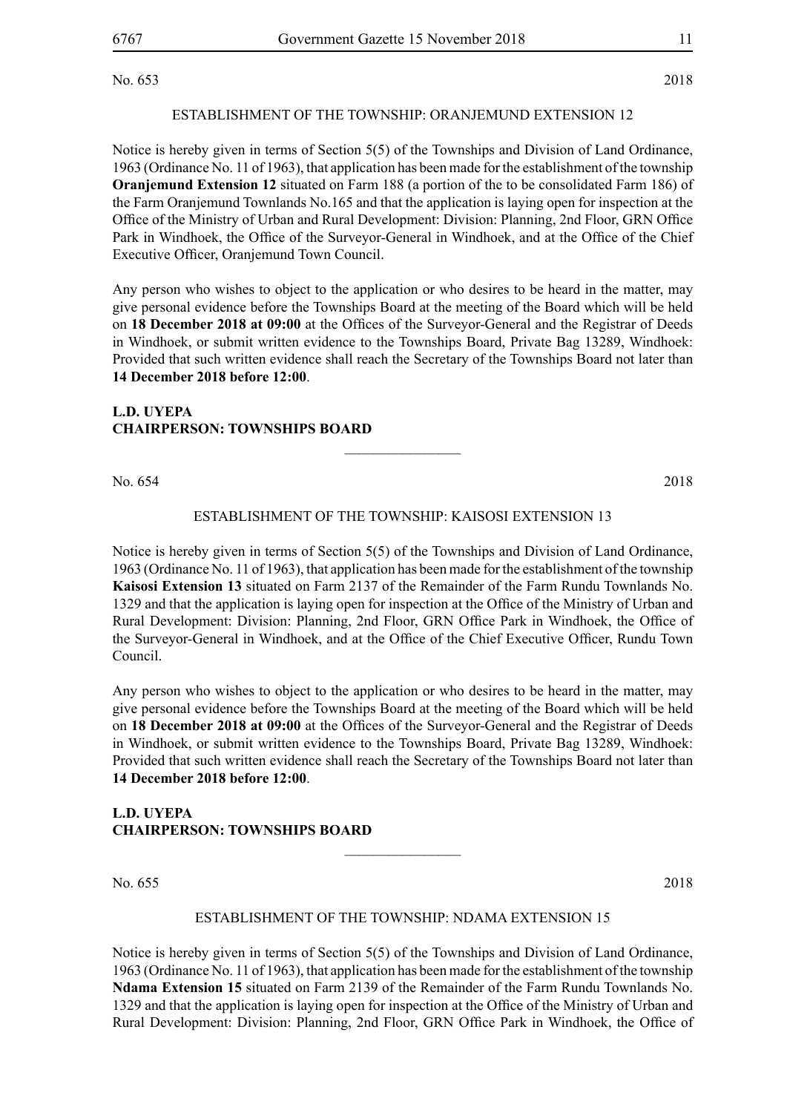No. 653 2018

#### ESTABLISHMENT OF THE TOWNSHIP: ORANJEMUND EXTENSION 12

Notice is hereby given in terms of Section 5(5) of the Townships and Division of Land Ordinance, 1963 (Ordinance No. 11 of 1963), that application has been made for the establishment of the township **Oranjemund Extension 12** situated on Farm 188 (a portion of the to be consolidated Farm 186) of the Farm Oranjemund Townlands No.165 and that the application is laying open for inspection at the Office of the Ministry of Urban and Rural Development: Division: Planning, 2nd Floor, GRN Office Park in Windhoek, the Office of the Surveyor-General in Windhoek, and at the Office of the Chief Executive Officer, Oranjemund Town Council.

Any person who wishes to object to the application or who desires to be heard in the matter, may give personal evidence before the Townships Board at the meeting of the Board which will be held on **18 December 2018 at 09:00** at the Offices of the Surveyor-General and the Registrar of Deeds in Windhoek, or submit written evidence to the Townships Board, Private Bag 13289, Windhoek: Provided that such written evidence shall reach the Secretary of the Townships Board not later than **14 December 2018 before 12:00**.

#### **L.D. UYEPA CHAIRPERSON: TOWNSHIPS BOARD**

No. 654 2018

#### ESTABLISHMENT OF THE TOWNSHIP: KAISOSI EXTENSION 13

 $\overline{\phantom{a}}$  , where  $\overline{\phantom{a}}$ 

Notice is hereby given in terms of Section 5(5) of the Townships and Division of Land Ordinance, 1963 (Ordinance No. 11 of 1963), that application has been made for the establishment of the township **Kaisosi Extension 13** situated on Farm 2137 of the Remainder of the Farm Rundu Townlands No. 1329 and that the application is laying open for inspection at the Office of the Ministry of Urban and Rural Development: Division: Planning, 2nd Floor, GRN Office Park in Windhoek, the Office of the Surveyor-General in Windhoek, and at the Office of the Chief Executive Officer, Rundu Town Council.

Any person who wishes to object to the application or who desires to be heard in the matter, may give personal evidence before the Townships Board at the meeting of the Board which will be held on **18 December 2018 at 09:00** at the Offices of the Surveyor-General and the Registrar of Deeds in Windhoek, or submit written evidence to the Townships Board, Private Bag 13289, Windhoek: Provided that such written evidence shall reach the Secretary of the Townships Board not later than **14 December 2018 before 12:00**.

#### **L.D. UYEPA CHAIRPERSON: TOWNSHIPS BOARD**

No. 655 2018

#### ESTABLISHMENT OF THE TOWNSHIP: NDAMA EXTENSION 15

 $\frac{1}{2}$ 

Notice is hereby given in terms of Section 5(5) of the Townships and Division of Land Ordinance, 1963 (Ordinance No. 11 of 1963), that application has been made for the establishment of the township **Ndama Extension 15** situated on Farm 2139 of the Remainder of the Farm Rundu Townlands No. 1329 and that the application is laying open for inspection at the Office of the Ministry of Urban and Rural Development: Division: Planning, 2nd Floor, GRN Office Park in Windhoek, the Office of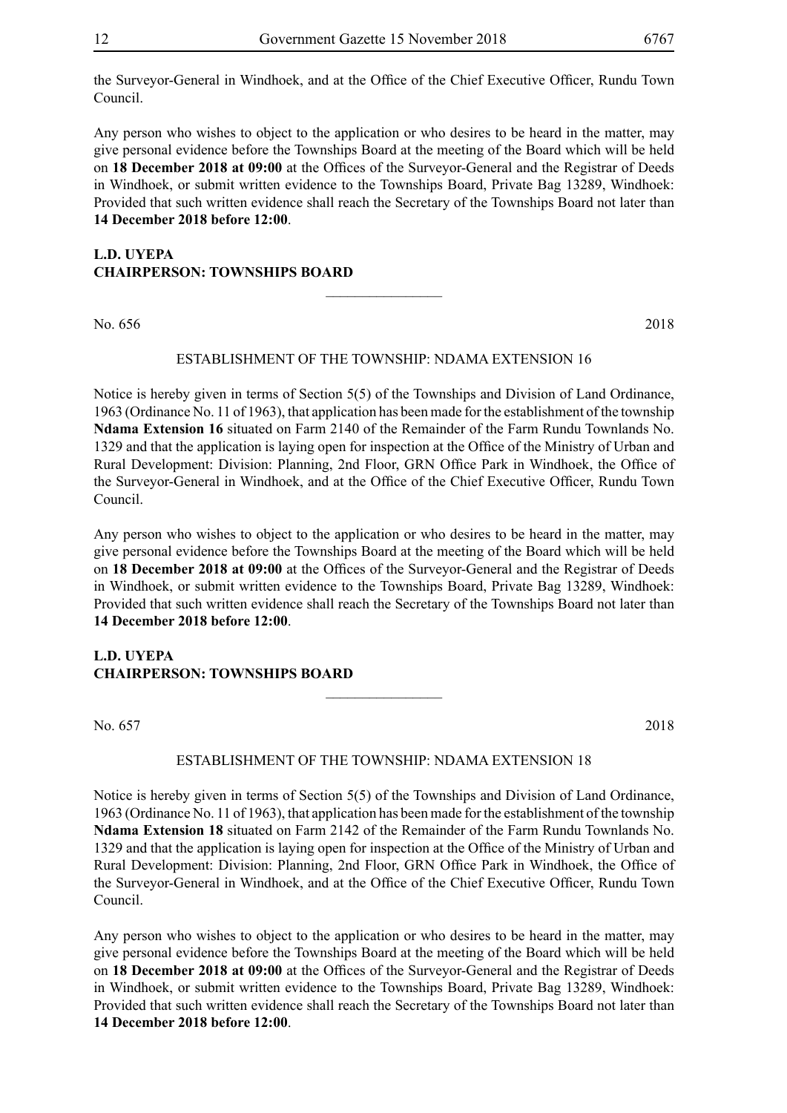the Surveyor-General in Windhoek, and at the Office of the Chief Executive Officer, Rundu Town Council.

Any person who wishes to object to the application or who desires to be heard in the matter, may give personal evidence before the Townships Board at the meeting of the Board which will be held on **18 December 2018 at 09:00** at the Offices of the Surveyor-General and the Registrar of Deeds in Windhoek, or submit written evidence to the Townships Board, Private Bag 13289, Windhoek: Provided that such written evidence shall reach the Secretary of the Townships Board not later than **14 December 2018 before 12:00**.

#### **L.D. UYEPA CHAIRPERSON: TOWNSHIPS BOARD**

No. 656 2018

#### ESTABLISHMENT OF THE TOWNSHIP: NDAMA EXTENSION 16

 $\overline{\phantom{a}}$  , where  $\overline{\phantom{a}}$ 

Notice is hereby given in terms of Section 5(5) of the Townships and Division of Land Ordinance, 1963 (Ordinance No. 11 of 1963), that application has been made for the establishment of the township **Ndama Extension 16** situated on Farm 2140 of the Remainder of the Farm Rundu Townlands No. 1329 and that the application is laying open for inspection at the Office of the Ministry of Urban and Rural Development: Division: Planning, 2nd Floor, GRN Office Park in Windhoek, the Office of the Surveyor-General in Windhoek, and at the Office of the Chief Executive Officer, Rundu Town Council.

Any person who wishes to object to the application or who desires to be heard in the matter, may give personal evidence before the Townships Board at the meeting of the Board which will be held on **18 December 2018 at 09:00** at the Offices of the Surveyor-General and the Registrar of Deeds in Windhoek, or submit written evidence to the Townships Board, Private Bag 13289, Windhoek: Provided that such written evidence shall reach the Secretary of the Townships Board not later than **14 December 2018 before 12:00**.

#### **L.D. UYEPA CHAIRPERSON: TOWNSHIPS BOARD**

No. 657 2018

#### ESTABLISHMENT OF THE TOWNSHIP: NDAMA EXTENSION 18

 $\overline{\phantom{a}}$  , where  $\overline{\phantom{a}}$ 

Notice is hereby given in terms of Section 5(5) of the Townships and Division of Land Ordinance, 1963 (Ordinance No. 11 of 1963), that application has been made for the establishment of the township **Ndama Extension 18** situated on Farm 2142 of the Remainder of the Farm Rundu Townlands No. 1329 and that the application is laying open for inspection at the Office of the Ministry of Urban and Rural Development: Division: Planning, 2nd Floor, GRN Office Park in Windhoek, the Office of the Surveyor-General in Windhoek, and at the Office of the Chief Executive Officer, Rundu Town Council.

Any person who wishes to object to the application or who desires to be heard in the matter, may give personal evidence before the Townships Board at the meeting of the Board which will be held on **18 December 2018 at 09:00** at the Offices of the Surveyor-General and the Registrar of Deeds in Windhoek, or submit written evidence to the Townships Board, Private Bag 13289, Windhoek: Provided that such written evidence shall reach the Secretary of the Townships Board not later than **14 December 2018 before 12:00**.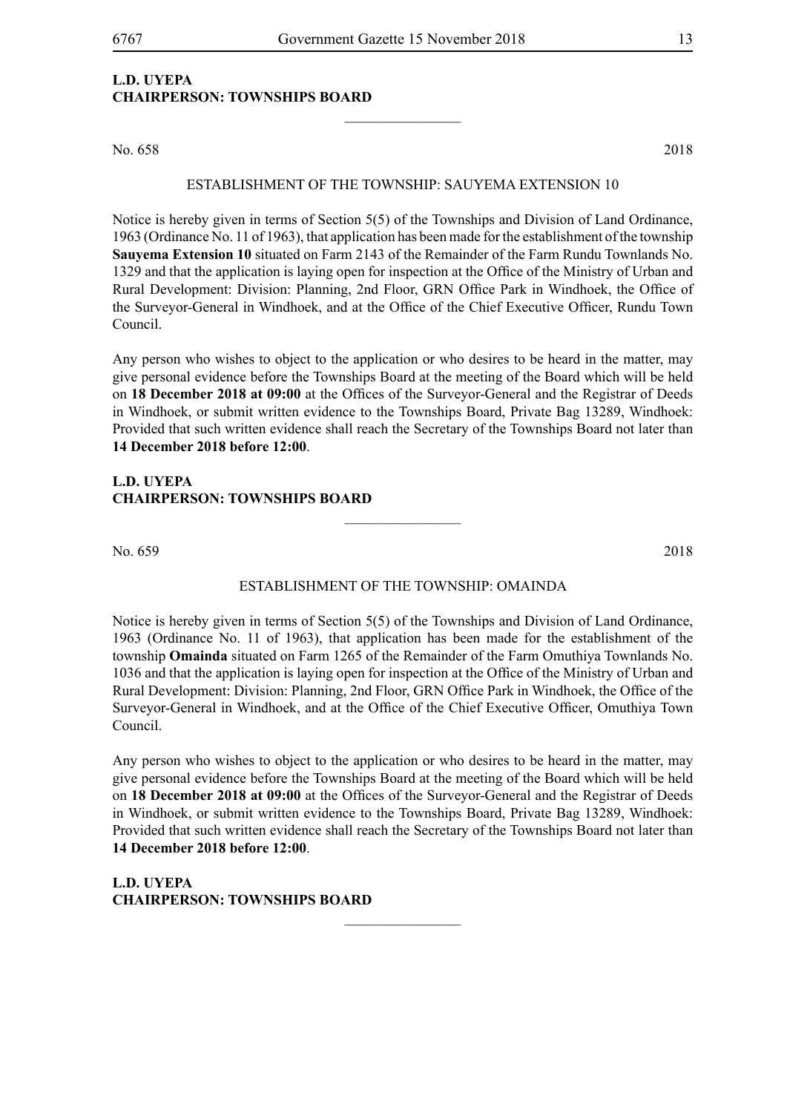#### **L.D. UYEPA CHAIRPERSON: TOWNSHIPS BOARD**

No. 658 2018

#### ESTABLISHMENT OF THE TOWNSHIP: SAUYEMA EXTENSION 10

 $\frac{1}{2}$ 

Notice is hereby given in terms of Section 5(5) of the Townships and Division of Land Ordinance, 1963 (Ordinance No. 11 of 1963), that application has been made for the establishment of the township **Sauyema Extension 10** situated on Farm 2143 of the Remainder of the Farm Rundu Townlands No. 1329 and that the application is laying open for inspection at the Office of the Ministry of Urban and Rural Development: Division: Planning, 2nd Floor, GRN Office Park in Windhoek, the Office of the Surveyor-General in Windhoek, and at the Office of the Chief Executive Officer, Rundu Town Council.

Any person who wishes to object to the application or who desires to be heard in the matter, may give personal evidence before the Townships Board at the meeting of the Board which will be held on **18 December 2018 at 09:00** at the Offices of the Surveyor-General and the Registrar of Deeds in Windhoek, or submit written evidence to the Townships Board, Private Bag 13289, Windhoek: Provided that such written evidence shall reach the Secretary of the Townships Board not later than **14 December 2018 before 12:00**.

#### **L.D. UYEPA CHAIRPERSON: TOWNSHIPS BOARD**

No. 659 2018

#### ESTABLISHMENT OF THE TOWNSHIP: OMAINDA

 $\overline{\phantom{a}}$  , where  $\overline{\phantom{a}}$ 

Notice is hereby given in terms of Section 5(5) of the Townships and Division of Land Ordinance, 1963 (Ordinance No. 11 of 1963), that application has been made for the establishment of the township **Omainda** situated on Farm 1265 of the Remainder of the Farm Omuthiya Townlands No. 1036 and that the application is laying open for inspection at the Office of the Ministry of Urban and Rural Development: Division: Planning, 2nd Floor, GRN Office Park in Windhoek, the Office of the Surveyor-General in Windhoek, and at the Office of the Chief Executive Officer, Omuthiya Town Council.

Any person who wishes to object to the application or who desires to be heard in the matter, may give personal evidence before the Townships Board at the meeting of the Board which will be held on **18 December 2018 at 09:00** at the Offices of the Surveyor-General and the Registrar of Deeds in Windhoek, or submit written evidence to the Townships Board, Private Bag 13289, Windhoek: Provided that such written evidence shall reach the Secretary of the Townships Board not later than **14 December 2018 before 12:00**.

 $\overline{\phantom{a}}$  , where  $\overline{\phantom{a}}$ 

**L.D. UYEPA CHAIRPERSON: TOWNSHIPS BOARD**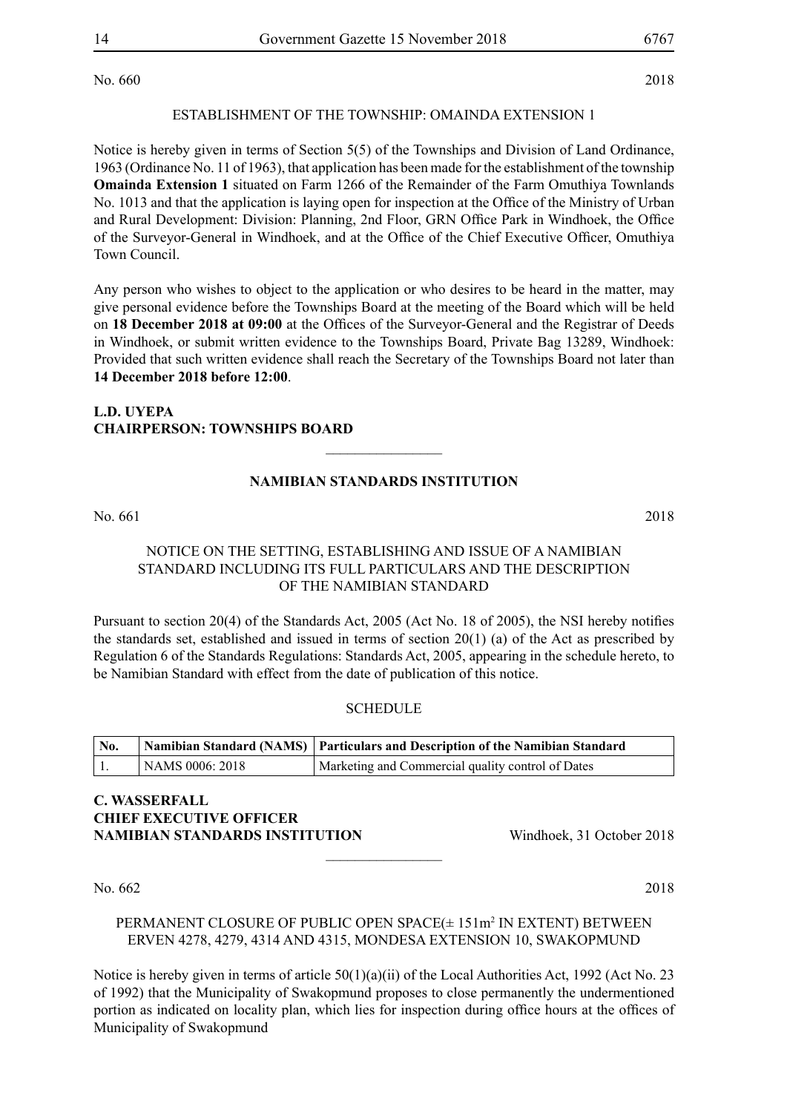No. 660 2018

#### ESTABLISHMENT OF THE TOWNSHIP: OMAINDA EXTENSION 1

Notice is hereby given in terms of Section 5(5) of the Townships and Division of Land Ordinance, 1963 (Ordinance No. 11 of 1963), that application has been made for the establishment of the township **Omainda Extension 1** situated on Farm 1266 of the Remainder of the Farm Omuthiya Townlands No. 1013 and that the application is laying open for inspection at the Office of the Ministry of Urban and Rural Development: Division: Planning, 2nd Floor, GRN Office Park in Windhoek, the Office of the Surveyor-General in Windhoek, and at the Office of the Chief Executive Officer, Omuthiya Town Council.

Any person who wishes to object to the application or who desires to be heard in the matter, may give personal evidence before the Townships Board at the meeting of the Board which will be held on **18 December 2018 at 09:00** at the Offices of the Surveyor-General and the Registrar of Deeds in Windhoek, or submit written evidence to the Townships Board, Private Bag 13289, Windhoek: Provided that such written evidence shall reach the Secretary of the Townships Board not later than **14 December 2018 before 12:00**.

#### **L.D. UYEPA CHAIRPERSON: TOWNSHIPS BOARD**

#### **NAMIBIAN STANDARDS INSTITUTION**

 $\overline{\phantom{a}}$  , where  $\overline{\phantom{a}}$ 

No. 661 2018

#### NOTICE ON THE SETTING, ESTABLISHING AND ISSUE OF A NAMIBIAN STANDARD INCLUDING ITS FULL PARTICULARS AND THE DESCRIPTION OF THE NAMIBIAN STANDARD

Pursuant to section 20(4) of the Standards Act, 2005 (Act No. 18 of 2005), the NSI hereby notifies the standards set, established and issued in terms of section 20(1) (a) of the Act as prescribed by Regulation 6 of the Standards Regulations: Standards Act, 2005, appearing in the schedule hereto, to be Namibian Standard with effect from the date of publication of this notice.

#### **SCHEDULE**

| No. |                 | Namibian Standard (NAMS)   Particulars and Description of the Namibian Standard |  |  |
|-----|-----------------|---------------------------------------------------------------------------------|--|--|
|     | NAMS 0006: 2018 | Marketing and Commercial quality control of Dates                               |  |  |

#### **c. wasserfall chief executive officer NAMIBIAN STANDARDS INSTITUTION** Windhoek, 31 October 2018

No. 662 2018

#### PERMANENT CLOSURE OF PUBLIC OPEN SPACE(± 151m<sup>2</sup> IN EXTENT) BETWEEN ERVEN 4278, 4279, 4314 AND 4315, MONDESA EXTENSION 10, SWAKOPMUND

 $\overline{\phantom{a}}$  , where  $\overline{\phantom{a}}$ 

Notice is hereby given in terms of article 50(1)(a)(ii) of the Local Authorities Act, 1992 (Act No. 23 of 1992) that the Municipality of Swakopmund proposes to close permanently the undermentioned portion as indicated on locality plan, which lies for inspection during office hours at the offices of Municipality of Swakopmund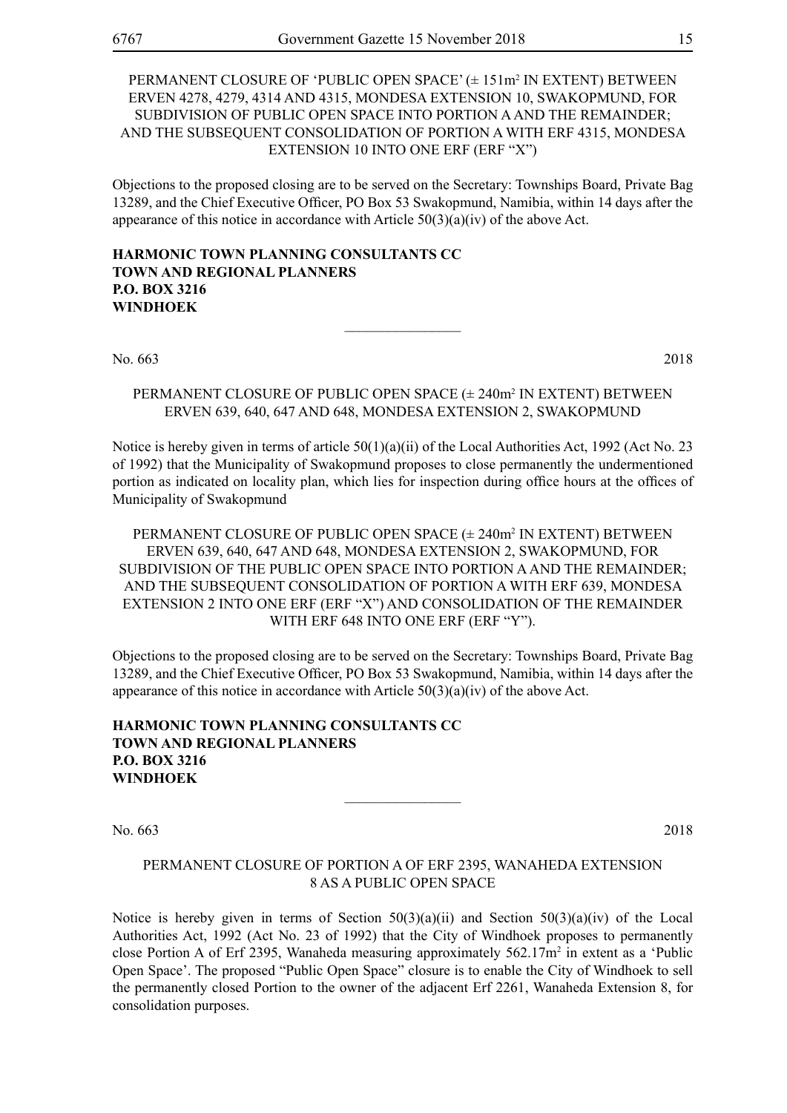PERMANENT CLOSURE OF 'PUBLIC OPEN SPACE' (± 151m<sup>2</sup> IN EXTENT) BETWEEN ERVEN 4278, 4279, 4314 AND 4315, MONDESA EXTENSION 10, SWAKOPMUND, FOR SUBDIVISION OF PUBLIC OPEN SPACE INTO PORTION A AND THE REMAINDER; AND THE SUBSEQUENT CONSOLIDATION OF PORTION A WITH ERF 4315, MONDESA EXTENSION 10 INTO ONE ERF (ERF "X")

Objections to the proposed closing are to be served on the Secretary: Townships Board, Private Bag 13289, and the Chief Executive Officer, PO Box 53 Swakopmund, Namibia, within 14 days after the appearance of this notice in accordance with Article  $50(3)(a)(iv)$  of the above Act.

**HARMONIC TOWN PLANNING CONSULTANTS CC TOWN AND REGIONAL PLANNERS P.O. BOX 3216 WINDHOEK**

No. 663 2018

PERMANENT CLOSURE OF PUBLIC OPEN SPACE (± 240m<sup>2</sup> IN EXTENT) BETWEEN ERVEN 639, 640, 647 AND 648, MONDESA EXTENSION 2, SWAKOPMUND

 $\frac{1}{2}$ 

Notice is hereby given in terms of article 50(1)(a)(ii) of the Local Authorities Act, 1992 (Act No. 23 of 1992) that the Municipality of Swakopmund proposes to close permanently the undermentioned portion as indicated on locality plan, which lies for inspection during office hours at the offices of Municipality of Swakopmund

PERMANENT CLOSURE OF PUBLIC OPEN SPACE (± 240m<sup>2</sup> IN EXTENT) BETWEEN ERVEN 639, 640, 647 AND 648, MONDESA EXTENSION 2, SWAKOPMUND, FOR SUBDIVISION OF THE PUBLIC OPEN SPACE INTO PORTION A AND THE REMAINDER; AND THE SUBSEQUENT CONSOLIDATION OF PORTION A WITH ERF 639, MONDESA EXTENSION 2 INTO ONE ERF (ERF "X") AND CONSOLIDATION OF THE REMAINDER WITH ERF 648 INTO ONE ERF (ERF "Y").

Objections to the proposed closing are to be served on the Secretary: Townships Board, Private Bag 13289, and the Chief Executive Officer, PO Box 53 Swakopmund, Namibia, within 14 days after the appearance of this notice in accordance with Article 50(3)(a)(iv) of the above Act.

**HARMONIC TOWN PLANNING CONSULTANTS CC TOWN AND REGIONAL PLANNERS P.O. BOX 3216 WINDHOEK**

No. 663 2018

PERMANENT CLOSURE OF PORTION A OF ERF 2395, WANAHEDA EXTENSION 8 AS A PUBLIC OPEN SPACE

 $\overline{\phantom{a}}$  , where  $\overline{\phantom{a}}$ 

Notice is hereby given in terms of Section  $50(3)(a)(ii)$  and Section  $50(3)(a)(iv)$  of the Local Authorities Act, 1992 (Act No. 23 of 1992) that the City of Windhoek proposes to permanently close Portion A of Erf 2395, Wanaheda measuring approximately  $562.17m<sup>2</sup>$  in extent as a 'Public Open Space'. The proposed "Public Open Space" closure is to enable the City of Windhoek to sell the permanently closed Portion to the owner of the adjacent Erf 2261, Wanaheda Extension 8, for consolidation purposes.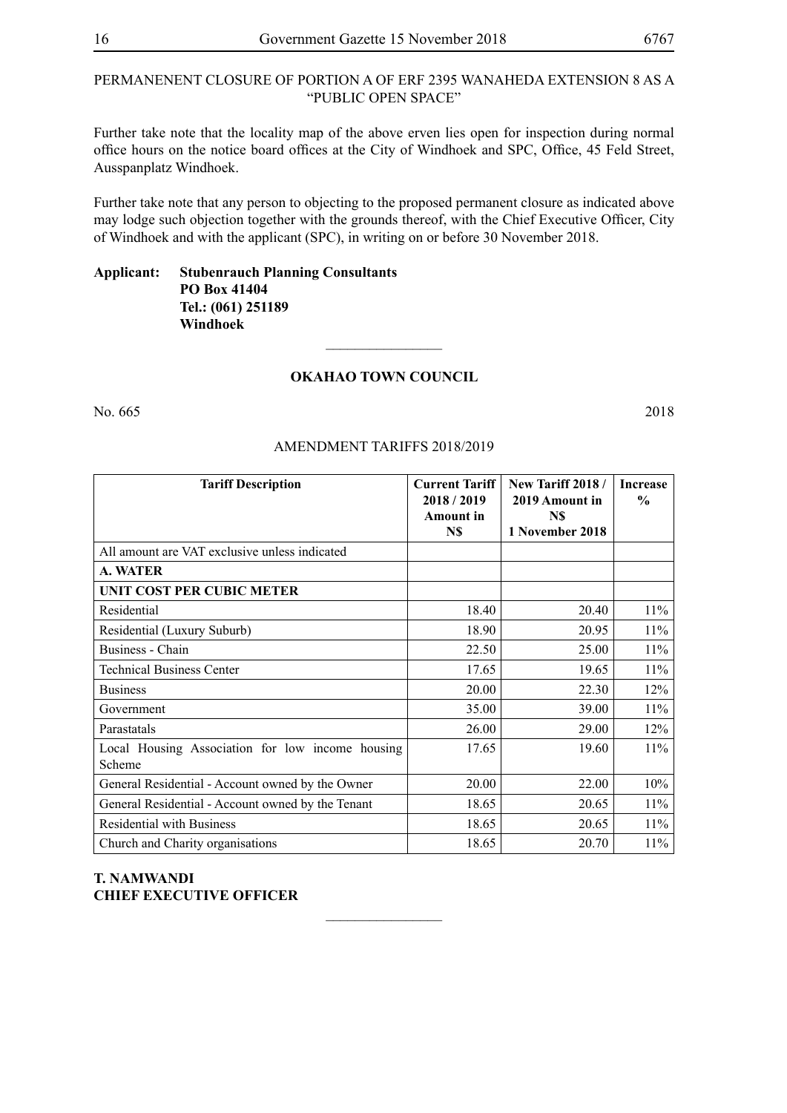#### PERMANENENT CLOSURE OF PORTION A OF ERF 2395 WANAHEDA EXTENSION 8 AS A "PUBLIC OPEN SPACE"

Further take note that the locality map of the above erven lies open for inspection during normal office hours on the notice board offices at the City of Windhoek and SPC, Office, 45 Feld Street, Ausspanplatz Windhoek.

Further take note that any person to objecting to the proposed permanent closure as indicated above may lodge such objection together with the grounds thereof, with the Chief Executive Officer, City of Windhoek and with the applicant (SPC), in writing on or before 30 November 2018.

#### **Applicant: Stubenrauch Planning Consultants PO Box 41404 Tel.: (061) 251189 Windhoek**

#### **Okahao Town Council**

 $\frac{1}{2}$ 

No. 665 2018

#### Amendment Tariffs 2018/2019

| <b>Tariff Description</b>                                  | <b>Current Tariff</b><br>2018/2019<br>Amount in<br>N\$ | <b>New Tariff 2018 /</b><br>2019 Amount in<br>N\$<br>1 November 2018 | <b>Increase</b><br>$\frac{0}{0}$ |
|------------------------------------------------------------|--------------------------------------------------------|----------------------------------------------------------------------|----------------------------------|
| All amount are VAT exclusive unless indicated              |                                                        |                                                                      |                                  |
| A. WATER                                                   |                                                        |                                                                      |                                  |
| <b>UNIT COST PER CUBIC METER</b>                           |                                                        |                                                                      |                                  |
| Residential                                                | 18.40                                                  | 20.40                                                                | $11\%$                           |
| Residential (Luxury Suburb)                                | 18.90                                                  | 20.95                                                                | $11\%$                           |
| Business - Chain                                           | 22.50                                                  | 25.00                                                                | 11%                              |
| <b>Technical Business Center</b>                           | 17.65                                                  | 19.65                                                                | 11%                              |
| <b>Business</b>                                            | 20.00                                                  | 22.30                                                                | 12%                              |
| Government                                                 | 35.00                                                  | 39.00                                                                | 11%                              |
| Parastatals                                                | 26.00                                                  | 29.00                                                                | 12%                              |
| Local Housing Association for low income housing<br>Scheme | 17.65                                                  | 19.60                                                                | 11%                              |
| General Residential - Account owned by the Owner           | 20.00                                                  | 22.00                                                                | 10%                              |
| General Residential - Account owned by the Tenant          | 18.65                                                  | 20.65                                                                | 11%                              |
| <b>Residential with Business</b>                           | 18.65                                                  | 20.65                                                                | $11\%$                           |
| Church and Charity organisations                           | 18.65                                                  | 20.70                                                                | 11%                              |

 $\frac{1}{2}$ 

#### **T. NAMWANDI CHIEF EXECUTIVE OFFICER**